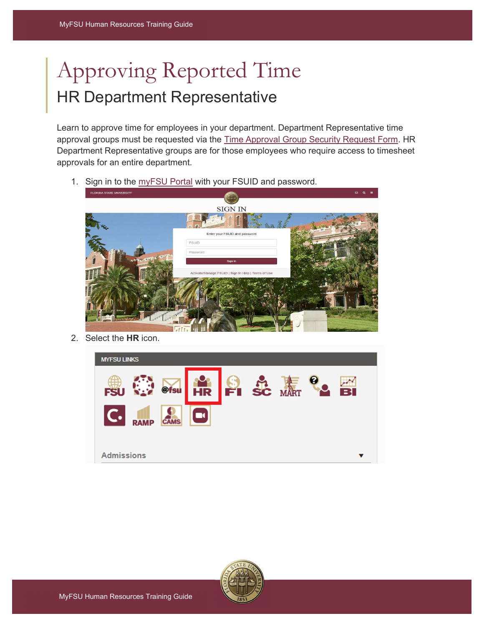## Approving Reported Time HR Department Representative

Learn to approve time for employees in your department. Department Representative time approval groups must be requested via the Time Approval Group Security Request Form. HR Department Representative groups are for those employees who require access to timesheet approvals for an entire department.

1. Sign in to the myFSU Portal with your FSUID and password.



2. Select the HR icon.



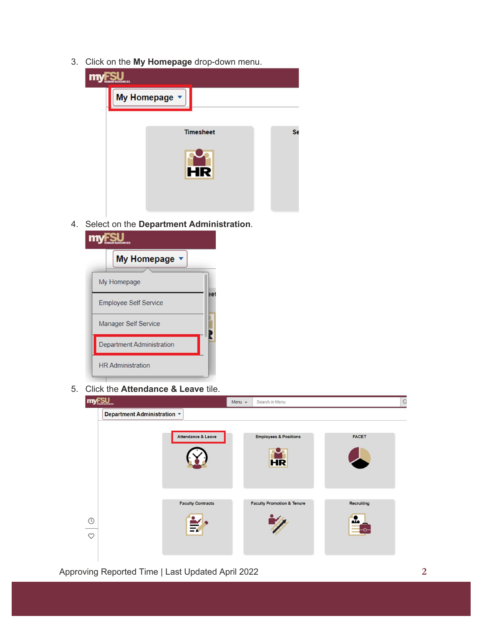3. Click on the My Homepage drop-down menu.



4. Select on the Department Administration.



5. Click the Attendance & Leave tile.



Approving Reported Time | Last Updated April 2022 2012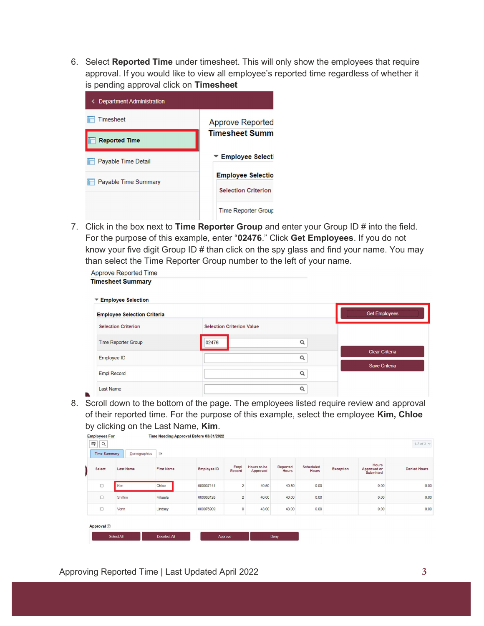6. Select Reported Time under timesheet. This will only show the employees that require approval. If you would like to view all employee's reported time regardless of whether it is pending approval click on Timesheet

| <b>Department Administration</b> |                            |
|----------------------------------|----------------------------|
| <b>Timesheet</b>                 | <b>Approve Reported</b>    |
| <b>Reported Time</b>             | <b>Timesheet Summ</b>      |
| Payable Time Detail              | ▼ Employee Selecti         |
| Payable Time Summary             | <b>Employee Selectio</b>   |
|                                  | <b>Selection Criterion</b> |
|                                  | <b>Time Reporter Group</b> |

**Approve Reported Time** 

7. Click in the box next to Time Reporter Group and enter your Group ID  $#$  into the field. For the purpose of this example, enter "02476." Click Get Employees. If you do not know your five digit Group ID # than click on the spy glass and find your name. You may than select the Time Reporter Group number to the left of your name.

| <b>Timesheet Summary</b>           |                                  |                       |
|------------------------------------|----------------------------------|-----------------------|
| ▼ Employee Selection               |                                  |                       |
| <b>Employee Selection Criteria</b> |                                  | <b>Get Employees</b>  |
| <b>Selection Criterion</b>         | <b>Selection Criterion Value</b> |                       |
| <b>Time Reporter Group</b>         | 02476<br>$\alpha$                |                       |
| Employee ID                        | $\alpha$                         | <b>Clear Criteria</b> |
| <b>Empl Record</b>                 | $\alpha$                         | Save Criteria         |
| <b>Last Name</b>                   | $\alpha$                         |                       |

8. Scroll down to the bottom of the page. The employees listed require review and approval of their reported time. For the purpose of this example, select the employee Kim, Chloe by clicking on the Last Name, Kim.

| <b>Employees For</b><br>羁<br>$\alpha$ |                                  |                                             | Time Needing Approval Before 03/31/2022 |                |                         |                          |                           |           |                                                 | 1-3 of $3 \times$   |
|---------------------------------------|----------------------------------|---------------------------------------------|-----------------------------------------|----------------|-------------------------|--------------------------|---------------------------|-----------|-------------------------------------------------|---------------------|
| <b>Time Summary</b><br>Select         | Demographics<br><b>Last Name</b> | $\parallel\,\parallel$<br><b>First Name</b> | <b>Employee ID</b>                      | Empl<br>Record | Hours to be<br>Approved | Reported<br><b>Hours</b> | Scheduled<br><b>Hours</b> | Exception | <b>Hours</b><br>Approved or<br><b>Submitted</b> | <b>Denied Hours</b> |
| $\Box$                                | Kim                              | Chloe                                       | 000037141                               | $\overline{c}$ | 40.50                   | 40.50                    | 0.00                      |           | 0.00                                            | 0.00                |
| $\Box$                                | Shiffrin                         | Mikaela                                     | 000063126                               | $\overline{2}$ | 40.00                   | 40.00                    | 0.00                      |           | 0.00                                            | 0.00                |
| $\Box$                                | Vonn                             | Lindsey                                     | 000076909                               | $\mathbf{0}$   | 43.00                   | 43.00                    | 0.00                      |           | 0.00                                            | 0.00                |
| Approval 2                            | Select All                       | <b>Deselect All</b>                         |                                         | Approve        |                         | Deny                     |                           |           |                                                 |                     |